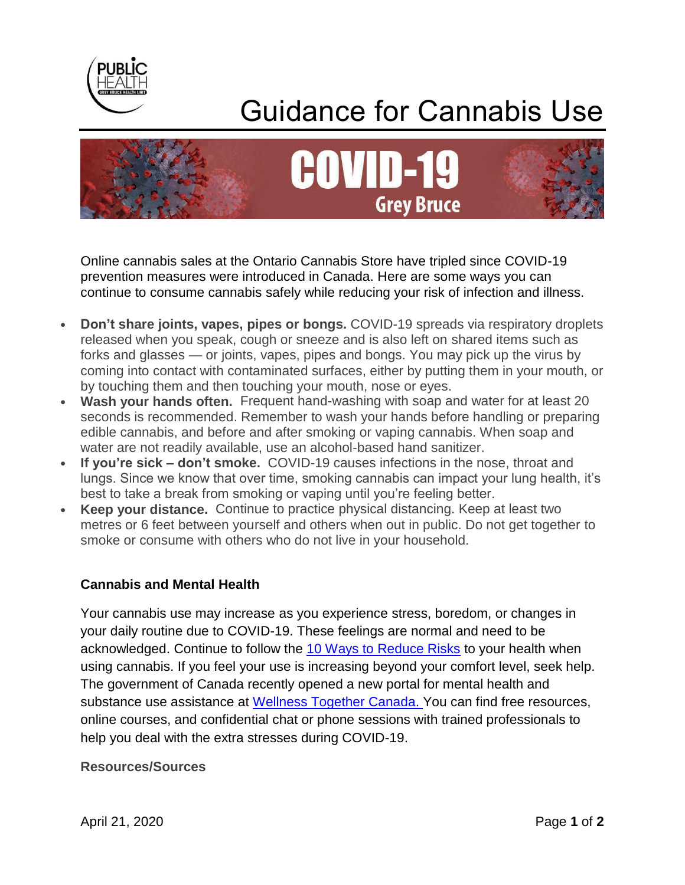

## Guidance for Cannabis Use



Online cannabis sales at the Ontario Cannabis Store have tripled since COVID-19 prevention measures were introduced in Canada. Here are some ways you can continue to consume cannabis safely while reducing your risk of infection and illness.

- **Don't share joints, vapes, pipes or bongs.** COVID-19 spreads via respiratory droplets released when you speak, cough or sneeze and is also left on shared items such as forks and glasses — or joints, vapes, pipes and bongs. You may pick up the virus by coming into contact with contaminated surfaces, either by putting them in your mouth, or by touching them and then touching your mouth, nose or eyes.
- **Wash your hands often.** Frequent hand-washing with soap and water for at least 20 seconds is recommended. Remember to wash your hands before handling or preparing edible cannabis, and before and after smoking or vaping cannabis. When soap and water are not readily available, use an alcohol-based hand sanitizer.
- **If you're sick – don't smoke.** COVID-19 causes infections in the nose, throat and lungs. Since we know that over time, smoking cannabis can impact your lung health, it's best to take a break from smoking or vaping until you're feeling better.
- **Keep your distance.** Continue to practice physical distancing. Keep at least two metres or 6 feet between yourself and others when out in public. Do not get together to smoke or consume with others who do not live in your household.

## **Cannabis and Mental Health**

Your cannabis use may increase as you experience stress, boredom, or changes in your daily routine due to COVID-19. These feelings are normal and need to be acknowledged. Continue to follow the [10 Ways to Reduce Risks](https://www.camh.ca/-/media/files/pdfs---reports-and-books---research/canadas-lower-risk-guidelines-cannabis-pdf.pdf) to your health when using cannabis. If you feel your use is increasing beyond your comfort level, seek help. The government of Canada recently opened a new portal for mental health and substance use assistance at [Wellness Together Canada.](http://clicks.memberclicks-mail.net/ls/click?upn=tTzoYldGTLuxcrnzhd0jS01FO0jo95zy59J85ypqLW0-3D2Raz_aj20V3nUnrnHxXwnBOjTXKp7w5ap-2FQ5nb74vNq5EwXnqad4amIiG6uCQ0HMKpBY-2B6Zby5K0TkWXDmaah4lA7N-2FS6P9jLESk61AsJbBtdjk9jWT73nrJ7ebmKb7MFQnCQLwbphHZuf3bkvs95xg-2F9nmAKw5QisEEckq3zaIymSRtCqQNFRwS3VGBAgldPF-2F7hH9-2F041vqSGGtc-2BtALC9tKfZ3HK2f6g5ezuWXQGsEJrD2OlmycbKjlRZ-2BxWSKcqhdaFnPS-2FsUzKqK9Iuvsy8qYPD-2FvQqGYhve3EXLmdZrUC27ENVqlrSH7czz-2FVDP9t1hYYW9eEY3MBegpUdHyHa-2FUHBcIxgkJl47lDMKNDlzZVbvmW6LUfN9ts75UrXDNYlG) You can find free resources, online courses, and confidential chat or phone sessions with trained professionals to help you deal with the extra stresses during COVID-19.

## **Resources/Sources**